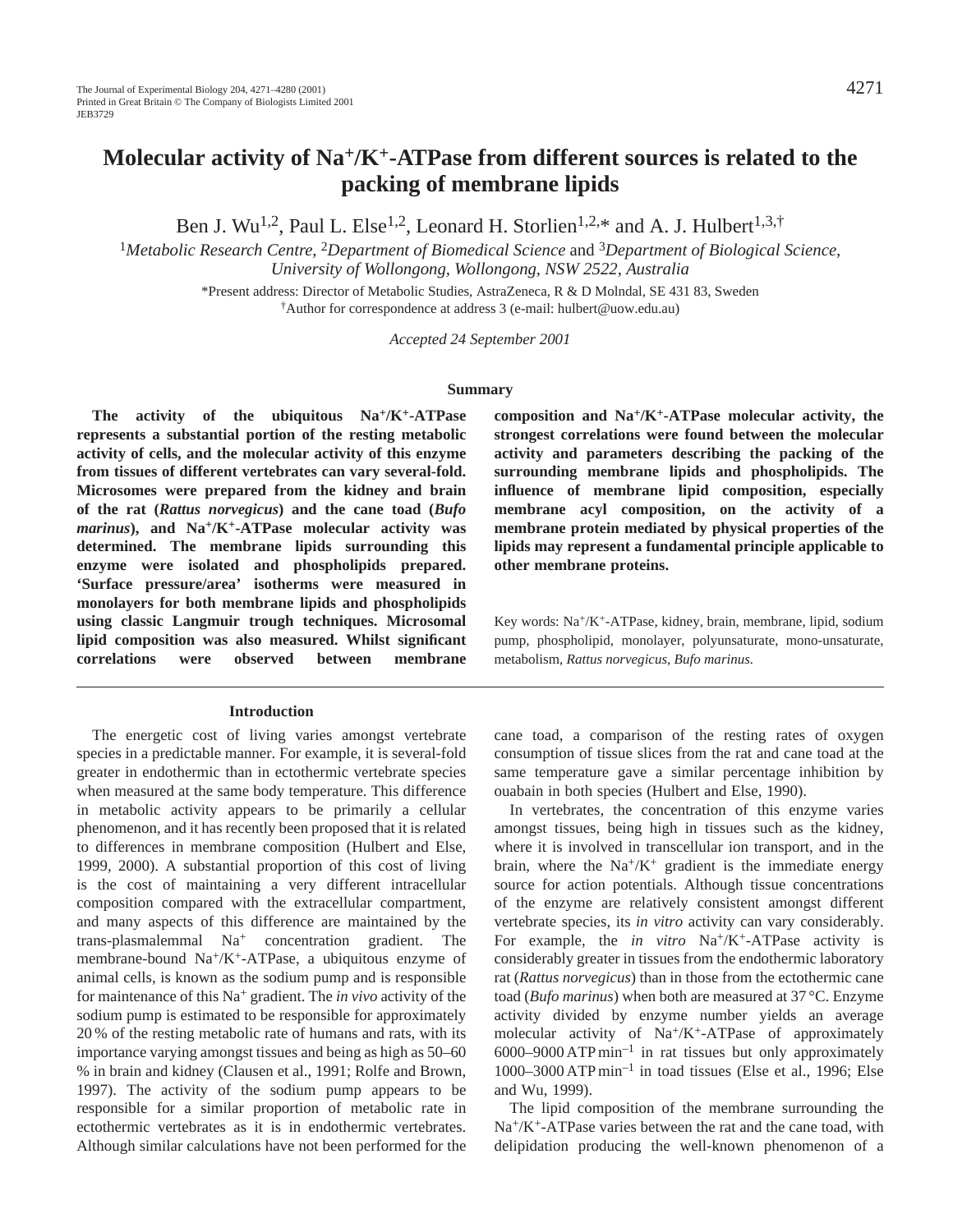Ben J. Wu<sup>1,2</sup>, Paul L. Else<sup>1,2</sup>, Leonard H. Storlien<sup>1,2,\*</sup> and A. J. Hulbert<sup>1,3,†</sup>

<sup>1</sup>*Metabolic Research Centre,* 2*Department of Biomedical Science* and 3*Department of Biological Science, University of Wollongong, Wollongong, NSW 2522, Australia*

> \*Present address: Director of Metabolic Studies, AstraZeneca, R & D Molndal, SE 431 83, Sweden †Author for correspondence at address 3 (e-mail: hulbert@uow.edu.au)

> > *Accepted 24 September 2001*

#### **Summary**

**The activity of the ubiquitous Na+/K+-ATPase represents a substantial portion of the resting metabolic activity of cells, and the molecular activity of this enzyme from tissues of different vertebrates can vary several-fold. Microsomes were prepared from the kidney and brain of the rat (***Rattus norvegicus***) and the cane toad (***Bufo marinus***), and Na+/K+-ATPase molecular activity was determined. The membrane lipids surrounding this enzyme were isolated and phospholipids prepared. 'Surface pressure/area' isotherms were measured in monolayers for both membrane lipids and phospholipids using classic Langmuir trough techniques. Microsomal lipid composition was also measured. Whilst significant correlations were observed between membrane**

#### **Introduction**

The energetic cost of living varies amongst vertebrate species in a predictable manner. For example, it is several-fold greater in endothermic than in ectothermic vertebrate species when measured at the same body temperature. This difference in metabolic activity appears to be primarily a cellular phenomenon, and it has recently been proposed that it is related to differences in membrane composition (Hulbert and Else, 1999, 2000). A substantial proportion of this cost of living is the cost of maintaining a very different intracellular composition compared with the extracellular compartment, and many aspects of this difference are maintained by the trans-plasmalemmal Na+ concentration gradient. The membrane-bound Na+/K+-ATPase, a ubiquitous enzyme of animal cells, is known as the sodium pump and is responsible for maintenance of this Na+ gradient. The *in vivo* activity of the sodium pump is estimated to be responsible for approximately 20 % of the resting metabolic rate of humans and rats, with its importance varying amongst tissues and being as high as 50–60 % in brain and kidney (Clausen et al., 1991; Rolfe and Brown, 1997). The activity of the sodium pump appears to be responsible for a similar proportion of metabolic rate in ectothermic vertebrates as it is in endothermic vertebrates. Although similar calculations have not been performed for the

**composition and Na+/K+-ATPase molecular activity, the strongest correlations were found between the molecular activity and parameters describing the packing of the surrounding membrane lipids and phospholipids. The influence of membrane lipid composition, especially membrane acyl composition, on the activity of a membrane protein mediated by physical properties of the lipids may represent a fundamental principle applicable to other membrane proteins.**

Key words: Na+/K+-ATPase, kidney, brain, membrane, lipid, sodium pump, phospholipid, monolayer, polyunsaturate, mono-unsaturate, metabolism, *Rattus norvegicus*, *Bufo marinus.*

cane toad, a comparison of the resting rates of oxygen consumption of tissue slices from the rat and cane toad at the same temperature gave a similar percentage inhibition by ouabain in both species (Hulbert and Else, 1990).

In vertebrates, the concentration of this enzyme varies amongst tissues, being high in tissues such as the kidney, where it is involved in transcellular ion transport, and in the brain, where the  $Na^{+}/K^{+}$  gradient is the immediate energy source for action potentials. Although tissue concentrations of the enzyme are relatively consistent amongst different vertebrate species, its *in vitro* activity can vary considerably. For example, the *in vitro* Na<sup>+</sup>/K<sup>+</sup>-ATPase activity is considerably greater in tissues from the endothermic laboratory rat (*Rattus norvegicus*) than in those from the ectothermic cane toad (*Bufo marinus*) when both are measured at 37 °C. Enzyme activity divided by enzyme number yields an average molecular activity of  $Na^{+}/K^{+}$ -ATPase of approximately  $6000-9000$  ATP min<sup>-1</sup> in rat tissues but only approximately 1000–3000 ATP min–1 in toad tissues (Else et al., 1996; Else and Wu, 1999).

The lipid composition of the membrane surrounding the Na+/K+-ATPase varies between the rat and the cane toad, with delipidation producing the well-known phenomenon of a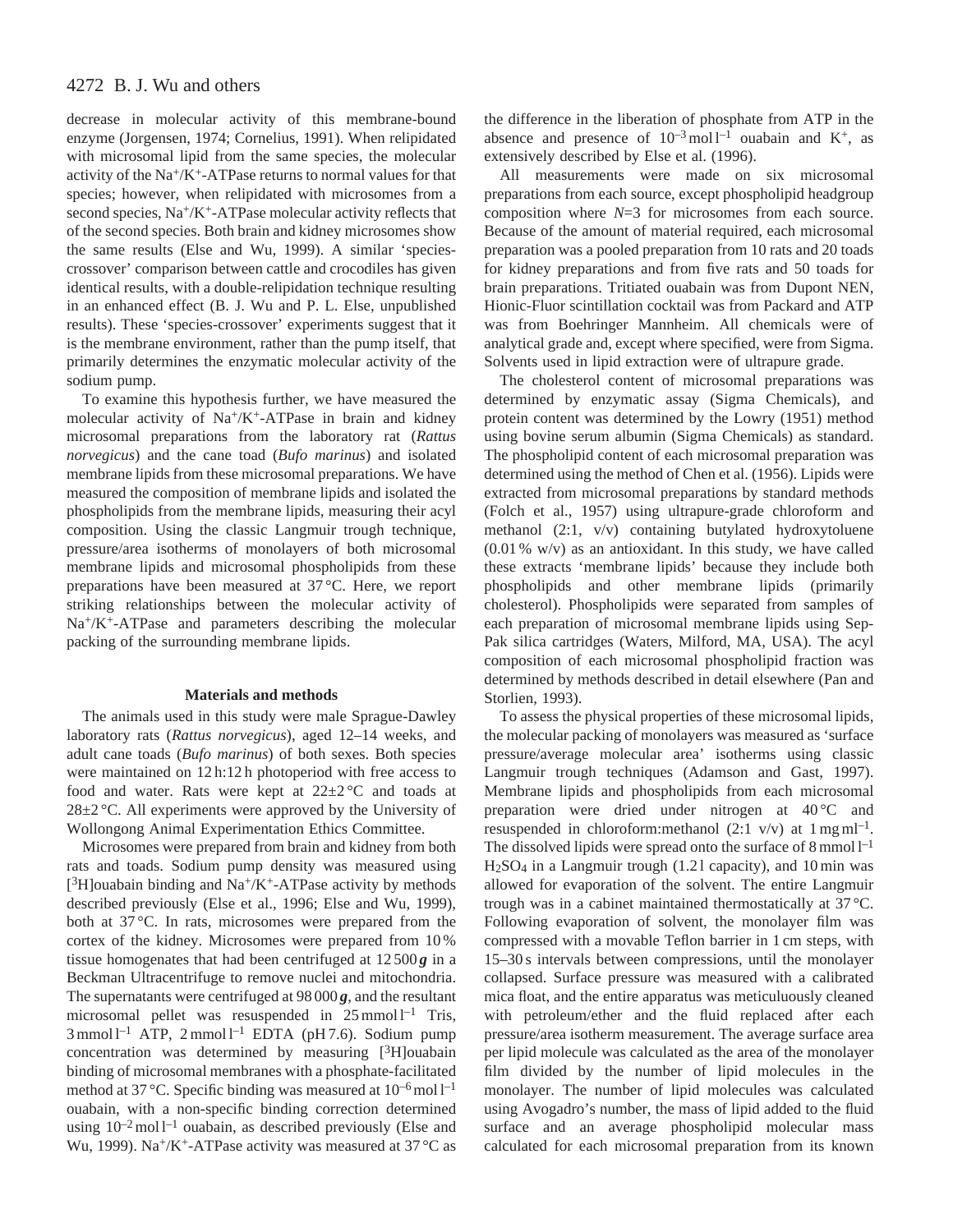# 4272 B. J. Wu and others

decrease in molecular activity of this membrane-bound enzyme (Jorgensen, 1974; Cornelius, 1991). When relipidated with microsomal lipid from the same species, the molecular activity of the  $Na^+/K^+$ -ATPase returns to normal values for that species; however, when relipidated with microsomes from a second species, Na<sup>+</sup>/K<sup>+</sup>-ATPase molecular activity reflects that of the second species. Both brain and kidney microsomes show the same results (Else and Wu, 1999). A similar 'speciescrossover' comparison between cattle and crocodiles has given identical results, with a double-relipidation technique resulting in an enhanced effect (B. J. Wu and P. L. Else, unpublished results). These 'species-crossover' experiments suggest that it is the membrane environment, rather than the pump itself, that primarily determines the enzymatic molecular activity of the sodium pump.

To examine this hypothesis further, we have measured the molecular activity of Na+/K+-ATPase in brain and kidney microsomal preparations from the laboratory rat (*Rattus norvegicus*) and the cane toad (*Bufo marinus*) and isolated membrane lipids from these microsomal preparations. We have measured the composition of membrane lipids and isolated the phospholipids from the membrane lipids, measuring their acyl composition. Using the classic Langmuir trough technique, pressure/area isotherms of monolayers of both microsomal membrane lipids and microsomal phospholipids from these preparations have been measured at 37 °C. Here, we report striking relationships between the molecular activity of Na+/K+-ATPase and parameters describing the molecular packing of the surrounding membrane lipids.

### **Materials and methods**

The animals used in this study were male Sprague-Dawley laboratory rats (*Rattus norvegicus*), aged 12–14 weeks, and adult cane toads (*Bufo marinus*) of both sexes. Both species were maintained on 12 h:12 h photoperiod with free access to food and water. Rats were kept at  $22\pm2\degree C$  and toads at 28±2 °C. All experiments were approved by the University of Wollongong Animal Experimentation Ethics Committee.

Microsomes were prepared from brain and kidney from both rats and toads. Sodium pump density was measured using [ $3H$ ]ouabain binding and Na<sup>+</sup>/K<sup>+</sup>-ATPase activity by methods described previously (Else et al., 1996; Else and Wu, 1999), both at 37 °C. In rats, microsomes were prepared from the cortex of the kidney. Microsomes were prepared from 10 % tissue homogenates that had been centrifuged at  $12,500g$  in a Beckman Ultracentrifuge to remove nuclei and mitochondria. The supernatants were centrifuged at 98 000 *g*, and the resultant microsomal pellet was resuspended in  $25$  mmol  $l^{-1}$  Tris,  $3$  mmol l<sup>-1</sup> ATP,  $2$  mmol l<sup>-1</sup> EDTA (pH 7.6). Sodium pump concentration was determined by measuring [3H]ouabain binding of microsomal membranes with a phosphate-facilitated method at 37 °C. Specific binding was measured at  $10^{-6}$  mol  $l^{-1}$ ouabain, with a non-specific binding correction determined using  $10^{-2}$  mol  $l^{-1}$  ouabain, as described previously (Else and Wu, 1999). Na<sup>+</sup>/K<sup>+</sup>-ATPase activity was measured at 37 °C as

the difference in the liberation of phosphate from ATP in the absence and presence of  $10^{-3}$  mol  $l^{-1}$  ouabain and K<sup>+</sup>, as extensively described by Else et al. (1996).

All measurements were made on six microsomal preparations from each source, except phospholipid headgroup composition where *N*=3 for microsomes from each source. Because of the amount of material required, each microsomal preparation was a pooled preparation from 10 rats and 20 toads for kidney preparations and from five rats and 50 toads for brain preparations. Tritiated ouabain was from Dupont NEN, Hionic-Fluor scintillation cocktail was from Packard and ATP was from Boehringer Mannheim. All chemicals were of analytical grade and, except where specified, were from Sigma. Solvents used in lipid extraction were of ultrapure grade.

The cholesterol content of microsomal preparations was determined by enzymatic assay (Sigma Chemicals), and protein content was determined by the Lowry (1951) method using bovine serum albumin (Sigma Chemicals) as standard. The phospholipid content of each microsomal preparation was determined using the method of Chen et al. (1956). Lipids were extracted from microsomal preparations by standard methods (Folch et al., 1957) using ultrapure-grade chloroform and methanol (2:1, v/v) containing butylated hydroxytoluene  $(0.01\%$  w/v) as an antioxidant. In this study, we have called these extracts 'membrane lipids' because they include both phospholipids and other membrane lipids (primarily cholesterol). Phospholipids were separated from samples of each preparation of microsomal membrane lipids using Sep-Pak silica cartridges (Waters, Milford, MA, USA). The acyl composition of each microsomal phospholipid fraction was determined by methods described in detail elsewhere (Pan and Storlien, 1993).

To assess the physical properties of these microsomal lipids, the molecular packing of monolayers was measured as 'surface pressure/average molecular area' isotherms using classic Langmuir trough techniques (Adamson and Gast, 1997). Membrane lipids and phospholipids from each microsomal preparation were dried under nitrogen at 40 °C and resuspended in chloroform: methanol  $(2:1 \text{ v/v})$  at  $1 \text{ mg ml}^{-1}$ . The dissolved lipids were spread onto the surface of  $8 \text{ mmol } 1^{-1}$  $H<sub>2</sub>SO<sub>4</sub>$  in a Langmuir trough (1.21 capacity), and 10 min was allowed for evaporation of the solvent. The entire Langmuir trough was in a cabinet maintained thermostatically at 37 °C. Following evaporation of solvent, the monolayer film was compressed with a movable Teflon barrier in 1 cm steps, with 15–30 s intervals between compressions, until the monolayer collapsed. Surface pressure was measured with a calibrated mica float, and the entire apparatus was meticuluously cleaned with petroleum/ether and the fluid replaced after each pressure/area isotherm measurement. The average surface area per lipid molecule was calculated as the area of the monolayer film divided by the number of lipid molecules in the monolayer. The number of lipid molecules was calculated using Avogadro's number, the mass of lipid added to the fluid surface and an average phospholipid molecular mass calculated for each microsomal preparation from its known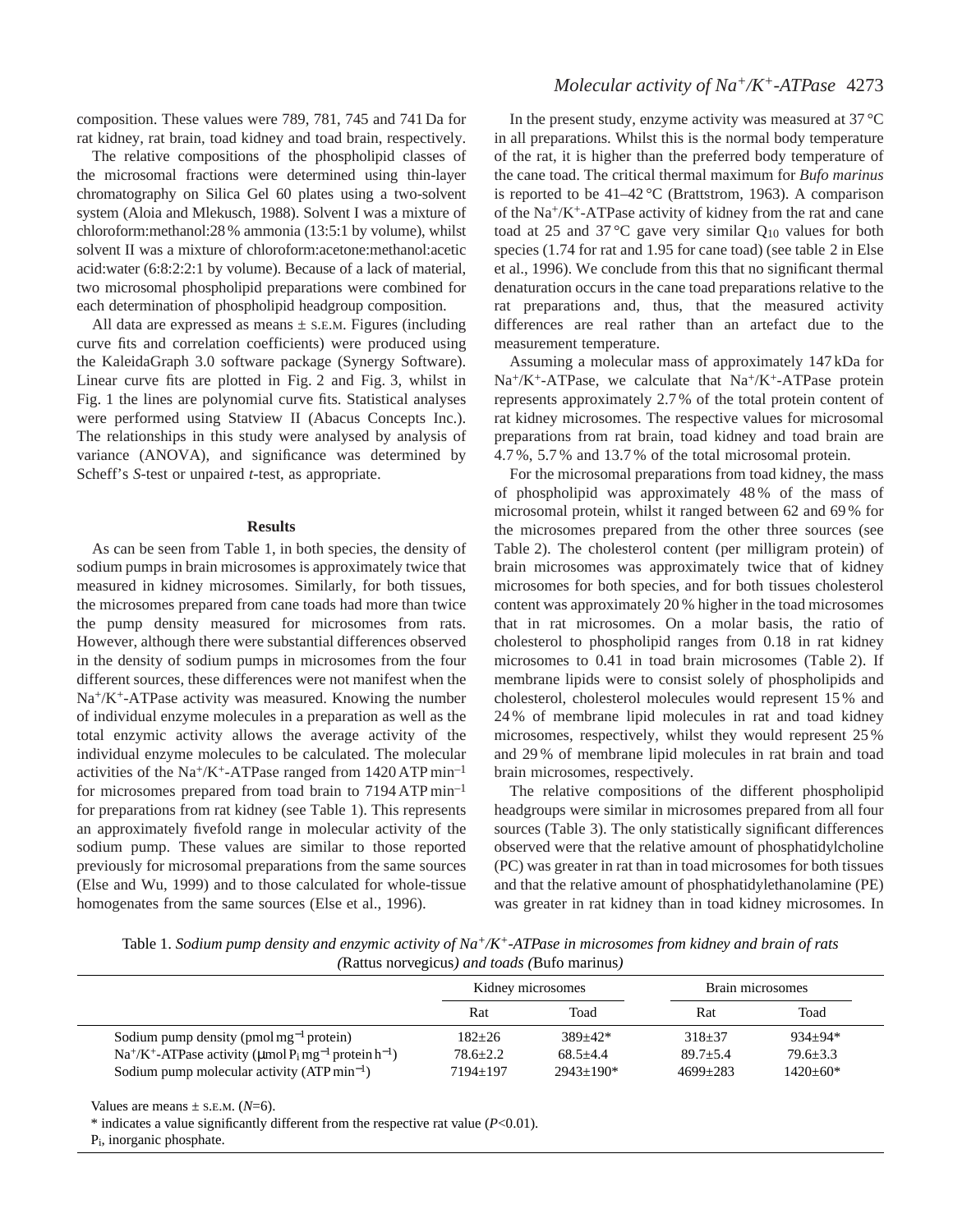composition. These values were 789, 781, 745 and 741 Da for rat kidney, rat brain, toad kidney and toad brain, respectively.

The relative compositions of the phospholipid classes of the microsomal fractions were determined using thin-layer chromatography on Silica Gel 60 plates using a two-solvent system (Aloia and Mlekusch, 1988). Solvent I was a mixture of chloroform:methanol:28 % ammonia (13:5:1 by volume), whilst solvent II was a mixture of chloroform:acetone:methanol:acetic acid:water (6:8:2:2:1 by volume). Because of a lack of material, two microsomal phospholipid preparations were combined for each determination of phospholipid headgroup composition.

All data are expressed as means  $\pm$  s.E.M. Figures (including curve fits and correlation coefficients) were produced using the KaleidaGraph 3.0 software package (Synergy Software). Linear curve fits are plotted in Fig. 2 and Fig. 3, whilst in Fig. 1 the lines are polynomial curve fits. Statistical analyses were performed using Statview II (Abacus Concepts Inc.). The relationships in this study were analysed by analysis of variance (ANOVA), and significance was determined by Scheff's *S*-test or unpaired *t*-test, as appropriate.

#### **Results**

As can be seen from Table 1, in both species, the density of sodium pumps in brain microsomes is approximately twice that measured in kidney microsomes. Similarly, for both tissues, the microsomes prepared from cane toads had more than twice the pump density measured for microsomes from rats. However, although there were substantial differences observed in the density of sodium pumps in microsomes from the four different sources, these differences were not manifest when the  $Na<sup>+</sup>/K<sup>+</sup>-ATPase activity was measured. Knowing the number$ of individual enzyme molecules in a preparation as well as the total enzymic activity allows the average activity of the individual enzyme molecules to be calculated. The molecular activities of the Na<sup>+</sup>/K<sup>+</sup>-ATPase ranged from  $1420$  ATP min<sup>-1</sup> for microsomes prepared from toad brain to 7194 ATP min–1 for preparations from rat kidney (see Table 1). This represents an approximately fivefold range in molecular activity of the sodium pump. These values are similar to those reported previously for microsomal preparations from the same sources (Else and Wu, 1999) and to those calculated for whole-tissue homogenates from the same sources (Else et al., 1996).

# *Molecular activity of Na<sup>+</sup>/K<sup>+</sup>-ATPase* 4273

In the present study, enzyme activity was measured at 37 °C in all preparations. Whilst this is the normal body temperature of the rat, it is higher than the preferred body temperature of the cane toad. The critical thermal maximum for *Bufo marinus* is reported to be 41–42 °C (Brattstrom, 1963). A comparison of the Na+/K+-ATPase activity of kidney from the rat and cane toad at 25 and 37 °C gave very similar  $Q_{10}$  values for both species (1.74 for rat and 1.95 for cane toad) (see table 2 in Else et al., 1996). We conclude from this that no significant thermal denaturation occurs in the cane toad preparations relative to the rat preparations and, thus, that the measured activity differences are real rather than an artefact due to the measurement temperature.

Assuming a molecular mass of approximately 147 kDa for  $Na^{+}/K^{+}$ -ATPase, we calculate that  $Na^{+}/K^{+}$ -ATPase protein represents approximately 2.7 % of the total protein content of rat kidney microsomes. The respective values for microsomal preparations from rat brain, toad kidney and toad brain are 4.7 %, 5.7 % and 13.7 % of the total microsomal protein.

For the microsomal preparations from toad kidney, the mass of phospholipid was approximately 48 % of the mass of microsomal protein, whilst it ranged between 62 and 69 % for the microsomes prepared from the other three sources (see Table 2). The cholesterol content (per milligram protein) of brain microsomes was approximately twice that of kidney microsomes for both species, and for both tissues cholesterol content was approximately 20 % higher in the toad microsomes that in rat microsomes. On a molar basis, the ratio of cholesterol to phospholipid ranges from 0.18 in rat kidney microsomes to 0.41 in toad brain microsomes (Table 2). If membrane lipids were to consist solely of phospholipids and cholesterol, cholesterol molecules would represent 15 % and 24 % of membrane lipid molecules in rat and toad kidney microsomes, respectively, whilst they would represent 25 % and 29 % of membrane lipid molecules in rat brain and toad brain microsomes, respectively.

The relative compositions of the different phospholipid headgroups were similar in microsomes prepared from all four sources (Table 3). The only statistically significant differences observed were that the relative amount of phosphatidylcholine (PC) was greater in rat than in toad microsomes for both tissues and that the relative amount of phosphatidylethanolamine (PE) was greater in rat kidney than in toad kidney microsomes. In

Table 1. *Sodium pump density and enzymic activity of Na+/K+-ATPase in microsomes from kidney and brain of rats (*Rattus norvegicus*) and toads (*Bufo marinus*)*

|                                                                                                                        | Kidney microsomes |              | Brain microsomes |              |
|------------------------------------------------------------------------------------------------------------------------|-------------------|--------------|------------------|--------------|
|                                                                                                                        | Rat               | Toad         | Rat              | Toad         |
| Sodium pump density (pmol mg <sup>-1</sup> protein)                                                                    | $182 + 26$        | $389+42*$    | $318 + 37$       | $934+94*$    |
| Na <sup>+</sup> /K <sup>+</sup> -ATPase activity ( $\mu$ mol P <sub>i</sub> mg <sup>-1</sup> protein h <sup>-1</sup> ) | $78.6 + 2.2$      | $68.5 + 4.4$ | $89.7 + 5.4$     | $79.6 + 3.3$ |
| Sodium pump molecular activity $(ATP min-1)$                                                                           | $7194 + 197$      | $2943+190*$  | $4699+283$       | $1420+60*$   |

Values are means  $\pm$  s.e.m. ( $N=6$ ).

\* indicates a value significantly different from the respective rat value (*P*<0.01).

Pi, inorganic phosphate.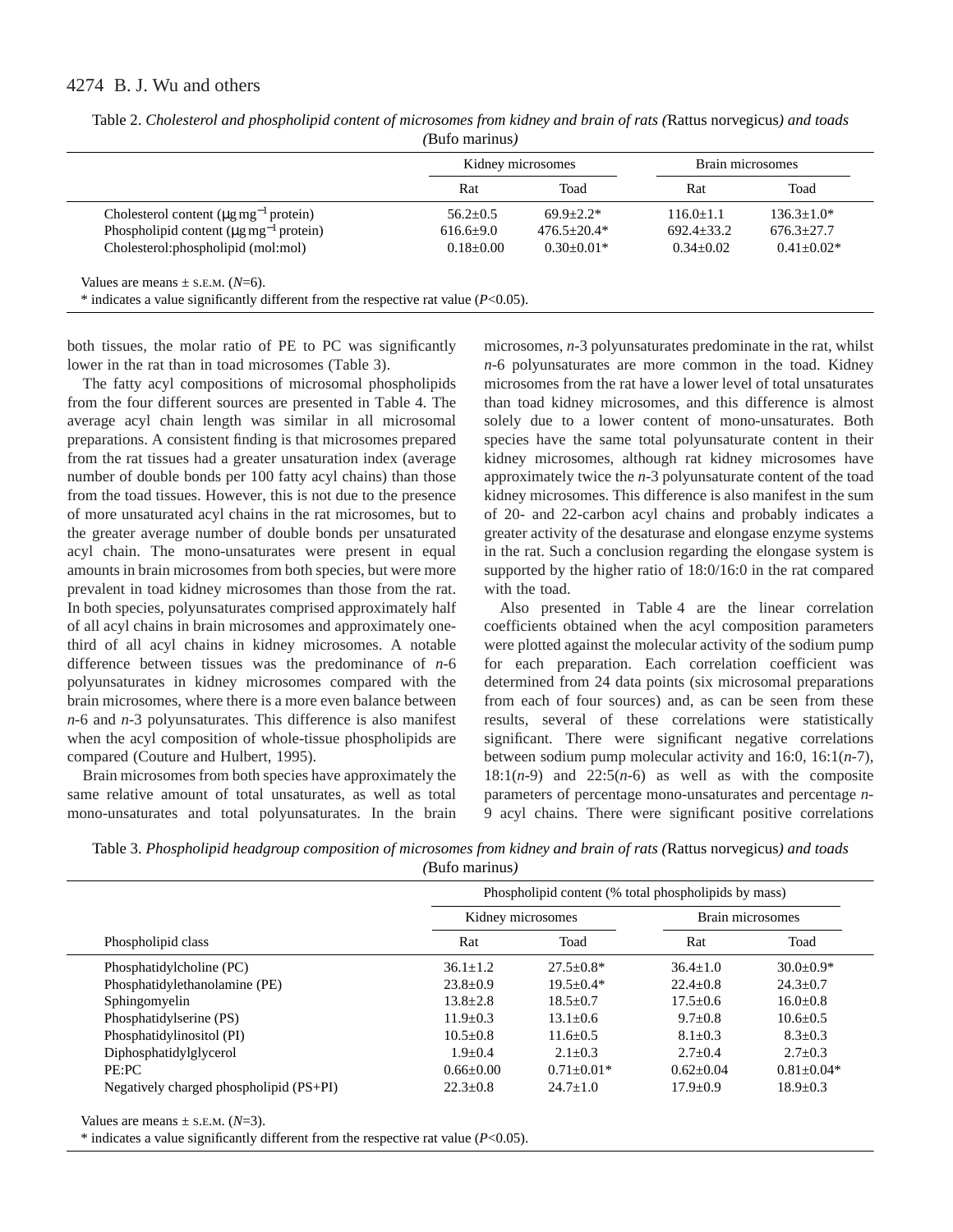# 4274 B. J. Wu and others

|                                                          | Kidney microsomes |                 | Brain microsomes |                  |
|----------------------------------------------------------|-------------------|-----------------|------------------|------------------|
|                                                          | Rat               | Toad            | Rat              | Toad             |
| Cholesterol content $(\mu g mg^{-1}$ protein)            | $56.2 + 0.5$      | $69.9 + 2.2*$   | $116.0+1.1$      | $136.3 + 1.0*$   |
| Phospholipid content ( $\mu$ g mg <sup>-1</sup> protein) | $616.6 \pm 9.0$   | $476.5 + 20.4*$ | $692.4 \pm 33.2$ | $676.3 \pm 27.7$ |
| Cholesterol: phospholipid (mol: mol)                     | $0.18+0.00$       | $0.30+0.01*$    | $0.34 + 0.02$    | $0.41 + 0.02*$   |

| Table 2. Cholesterol and phospholipid content of microsomes from kidney and brain of rats (Rattus norvegicus) and toads |
|-------------------------------------------------------------------------------------------------------------------------|
| (Bufo marinus)                                                                                                          |

both tissues, the molar ratio of PE to PC was significantly lower in the rat than in toad microsomes (Table 3).

The fatty acyl compositions of microsomal phospholipids from the four different sources are presented in Table 4. The average acyl chain length was similar in all microsomal preparations. A consistent finding is that microsomes prepared from the rat tissues had a greater unsaturation index (average number of double bonds per 100 fatty acyl chains) than those from the toad tissues. However, this is not due to the presence of more unsaturated acyl chains in the rat microsomes, but to the greater average number of double bonds per unsaturated acyl chain. The mono-unsaturates were present in equal amounts in brain microsomes from both species, but were more prevalent in toad kidney microsomes than those from the rat. In both species, polyunsaturates comprised approximately half of all acyl chains in brain microsomes and approximately onethird of all acyl chains in kidney microsomes. A notable difference between tissues was the predominance of *n*-6 polyunsaturates in kidney microsomes compared with the brain microsomes, where there is a more even balance between *n*-6 and *n*-3 polyunsaturates. This difference is also manifest when the acyl composition of whole-tissue phospholipids are compared (Couture and Hulbert, 1995).

Brain microsomes from both species have approximately the same relative amount of total unsaturates, as well as total mono-unsaturates and total polyunsaturates. In the brain

microsomes, *n*-3 polyunsaturates predominate in the rat, whilst *n*-6 polyunsaturates are more common in the toad. Kidney microsomes from the rat have a lower level of total unsaturates than toad kidney microsomes, and this difference is almost solely due to a lower content of mono-unsaturates. Both species have the same total polyunsaturate content in their kidney microsomes, although rat kidney microsomes have approximately twice the *n*-3 polyunsaturate content of the toad kidney microsomes. This difference is also manifest in the sum of 20- and 22-carbon acyl chains and probably indicates a greater activity of the desaturase and elongase enzyme systems in the rat. Such a conclusion regarding the elongase system is supported by the higher ratio of 18:0/16:0 in the rat compared with the toad.

Also presented in Table 4 are the linear correlation coefficients obtained when the acyl composition parameters were plotted against the molecular activity of the sodium pump for each preparation. Each correlation coefficient was determined from 24 data points (six microsomal preparations from each of four sources) and, as can be seen from these results, several of these correlations were statistically significant. There were significant negative correlations between sodium pump molecular activity and 16:0, 16:1(*n*-7),  $18:1(n-9)$  and  $22:5(n-6)$  as well as with the composite parameters of percentage mono-unsaturates and percentage *n*-9 acyl chains. There were significant positive correlations

| Table 3. Phospholipid headgroup composition of microsomes from kidney and brain of rats (Rattus norvegicus) and toads |                |  |  |
|-----------------------------------------------------------------------------------------------------------------------|----------------|--|--|
|                                                                                                                       | (Bufo marinus) |  |  |

|                                         | Phospholipid content (% total phospholipids by mass) |                |                  |                |
|-----------------------------------------|------------------------------------------------------|----------------|------------------|----------------|
|                                         | Kidney microsomes                                    |                | Brain microsomes |                |
| Phospholipid class                      | Rat                                                  | Toad           | Rat              | Toad           |
| Phosphatidylcholine (PC)                | $36.1 + 1.2$                                         | $27.5 + 0.8*$  | $36.4 + 1.0$     | $30.0 + 0.9*$  |
| Phosphatidylethanolamine (PE)           | $23.8+0.9$                                           | $19.5 + 0.4*$  | $22.4+0.8$       | $24.3 \pm 0.7$ |
| Sphingomyelin                           | $13.8 + 2.8$                                         | $18.5 + 0.7$   | $17.5 + 0.6$     | $16.0 + 0.8$   |
| Phosphatidylserine (PS)                 | $11.9 + 0.3$                                         | $13.1 + 0.6$   | $9.7+0.8$        | $10.6 + 0.5$   |
| Phosphatidylinositol (PI)               | $10.5 + 0.8$                                         | $11.6 + 0.5$   | $8.1 \pm 0.3$    | $8.3 \pm 0.3$  |
| Diphosphatidylglycerol                  | $1.9 + 0.4$                                          | $2.1 + 0.3$    | $2.7+0.4$        | $2.7+0.3$      |
| PE:PC                                   | $0.66+0.00$                                          | $0.71 + 0.01*$ | $0.62 + 0.04$    | $0.81 + 0.04*$ |
| Negatively charged phospholipid (PS+PI) | $22.3+0.8$                                           | $24.7+1.0$     | $17.9 + 0.9$     | $18.9 + 0.3$   |

Values are means  $\pm$  s.e.m. ( $N=3$ ).

\* indicates a value significantly different from the respective rat value (*P*<0.05).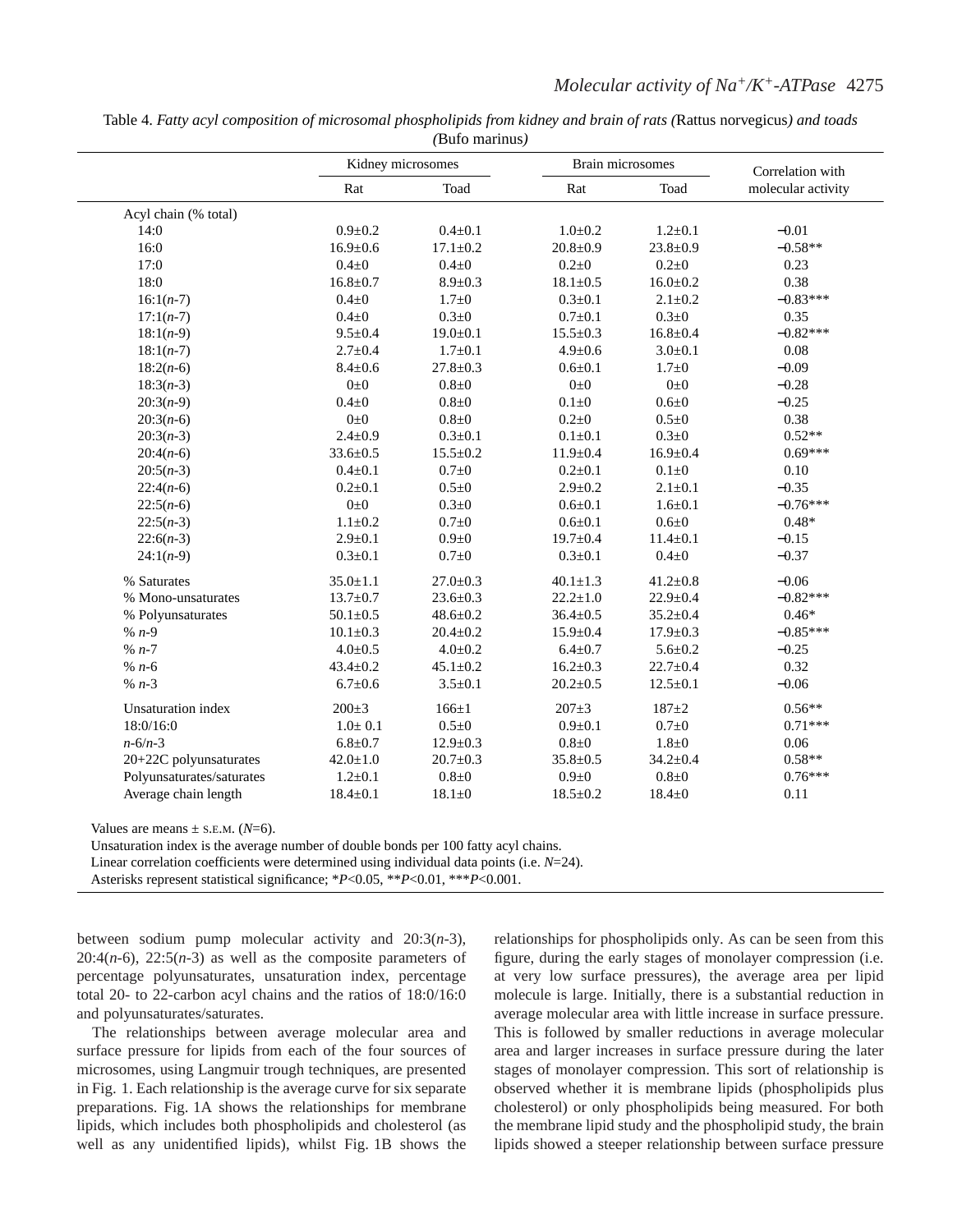| Table 4. Fatty acyl composition of microsomal phospholipids from kidney and brain of rats (Rattus norvegicus) and toads |
|-------------------------------------------------------------------------------------------------------------------------|
| (Bufo marinus)                                                                                                          |

|                           | Kidney microsomes |                | Brain microsomes |                | Correlation with   |  |
|---------------------------|-------------------|----------------|------------------|----------------|--------------------|--|
|                           | Rat               | Toad           | Rat              | Toad           | molecular activity |  |
| Acyl chain (% total)      |                   |                |                  |                |                    |  |
| 14:0                      | $0.9 + 0.2$       | $0.4 \pm 0.1$  | $1.0 + 0.2$      | $1.2 \pm 0.1$  | $-0.01$            |  |
| 16:0                      | $16.9 \pm 0.6$    | $17.1 \pm 0.2$ | $20.8 \pm 0.9$   | $23.8 \pm 0.9$ | $-0.58**$          |  |
| 17:0                      | $0.4 \pm 0$       | $0.4 \pm 0$    | $0.2 + 0$        | $0.2 + 0$      | 0.23               |  |
| 18:0                      | $16.8 \pm 0.7$    | $8.9 \pm 0.3$  | $18.1 \pm 0.5$   | $16.0 \pm 0.2$ | 0.38               |  |
| $16:1(n-7)$               | $0.4 \pm 0$       | $1.7 \pm 0$    | $0.3 \pm 0.1$    | $2.1 \pm 0.2$  | $-0.83***$         |  |
| $17:1(n-7)$               | $0.4 \pm 0$       | $0.3 \pm 0$    | $0.7 \pm 0.1$    | $0.3 + 0$      | 0.35               |  |
| $18:1(n-9)$               | $9.5 \pm 0.4$     | $19.0 \pm 0.1$ | $15.5 \pm 0.3$   | $16.8 \pm 0.4$ | $-0.82***$         |  |
| $18:1(n-7)$               | $2.7 \pm 0.4$     | $1.7 \pm 0.1$  | $4.9 \pm 0.6$    | $3.0 \pm 0.1$  | 0.08               |  |
| $18:2(n-6)$               | $8.4 \pm 0.6$     | $27.8 \pm 0.3$ | $0.6 + 0.1$      | $1.7 + 0$      | $-0.09$            |  |
| $18:3(n-3)$               | $0\pm 0$          | $0.8 + 0$      | $0\pm 0$         | $0\pm 0$       | $-0.28$            |  |
| $20:3(n-9)$               | $0.4 \pm 0$       | $0.8 + 0$      | $0.1 \pm 0$      | $0.6 + 0$      | $-0.25$            |  |
| $20:3(n-6)$               | $0\pm 0$          | $0.8 + 0$      | $0.2 + 0$        | $0.5 \pm 0$    | 0.38               |  |
| $20:3(n-3)$               | $2.4 \pm 0.9$     | $0.3 \pm 0.1$  | $0.1 \pm 0.1$    | $0.3 \pm 0$    | $0.52**$           |  |
| $20:4(n-6)$               | $33.6 \pm 0.5$    | $15.5 \pm 0.2$ | $11.9 \pm 0.4$   | $16.9 \pm 0.4$ | $0.69***$          |  |
| $20:5(n-3)$               | $0.4 \pm 0.1$     | $0.7 + 0$      | $0.2 \pm 0.1$    | $0.1 \pm 0$    | 0.10               |  |
| $22:4(n-6)$               | $0.2 \pm 0.1$     | $0.5 + 0$      | $2.9 \pm 0.2$    | $2.1 \pm 0.1$  | $-0.35$            |  |
| $22:5(n-6)$               | $0\pm 0$          | $0.3 + 0$      | $0.6 \pm 0.1$    | $1.6 \pm 0.1$  | $-0.76***$         |  |
| $22:5(n-3)$               | $1.1 \pm 0.2$     | $0.7 + 0$      | $0.6 + 0.1$      | $0.6 + 0$      | $0.48*$            |  |
| $22:6(n-3)$               | $2.9 \pm 0.1$     | $0.9 \pm 0$    | $19.7 \pm 0.4$   | $11.4 \pm 0.1$ | $-0.15$            |  |
| $24:1(n-9)$               | $0.3 \pm 0.1$     | $0.7 + 0$      | $0.3 \pm 0.1$    | $0.4 \pm 0$    | $-0.37$            |  |
| % Saturates               | $35.0 \pm 1.1$    | $27.0 \pm 0.3$ | $40.1 \pm 1.3$   | $41.2 \pm 0.8$ | $-0.06$            |  |
| % Mono-unsaturates        | $13.7 \pm 0.7$    | $23.6 \pm 0.3$ | $22.2 \pm 1.0$   | $22.9 \pm 0.4$ | $-0.82***$         |  |
| % Polyunsaturates         | $50.1 \pm 0.5$    | $48.6 \pm 0.2$ | $36.4 \pm 0.5$   | $35.2 \pm 0.4$ | $0.46*$            |  |
| $% n-9$                   | $10.1 \pm 0.3$    | $20.4 \pm 0.2$ | $15.9 \pm 0.4$   | $17.9 \pm 0.3$ | $-0.85***$         |  |
| $% n-7$                   | $4.0 \pm 0.5$     | $4.0 \pm 0.2$  | $6.4 \pm 0.7$    | $5.6 \pm 0.2$  | $-0.25$            |  |
| $% n-6$                   | $43.4 \pm 0.2$    | $45.1 \pm 0.2$ | $16.2 \pm 0.3$   | $22.7 \pm 0.4$ | 0.32               |  |
| % $n-3$                   | $6.7 \pm 0.6$     | $3.5 \pm 0.1$  | $20.2 \pm 0.5$   | $12.5 \pm 0.1$ | $-0.06$            |  |
| <b>Unsaturation</b> index | $200 \pm 3$       | $166 \pm 1$    | $207 \pm 3$      | $187 + 2$      | $0.56**$           |  |
| 18:0/16:0                 | $1.0 \pm 0.1$     | $0.5 \pm 0$    | $0.9 + 0.1$      | $0.7 \pm 0$    | $0.71***$          |  |
| $n - 6/n - 3$             | $6.8 + 0.7$       | $12.9 \pm 0.3$ | $0.8 \pm 0$      | $1.8 + 0$      | 0.06               |  |
| 20+22C polyunsaturates    | $42.0 \pm 1.0$    | $20.7 \pm 0.3$ | $35.8 \pm 0.5$   | $34.2 \pm 0.4$ | $0.58**$           |  |
| Polyunsaturates/saturates | $1.2 \pm 0.1$     | $0.8 \pm 0$    | $0.9 + 0$        | $0.8 \pm 0$    | $0.76***$          |  |
| Average chain length      | $18.4 \pm 0.1$    | $18.1 \pm 0$   | $18.5 \pm 0.2$   | $18.4 \pm 0$   | 0.11               |  |

Values are means  $\pm$  s.E.M. ( $N=6$ ).

Unsaturation index is the average number of double bonds per 100 fatty acyl chains.

Linear correlation coefficients were determined using individual data points (i.e. *N*=24).

Asterisks represent statistical significance; \**P*<0.05, \*\**P*<0.01, \*\*\**P*<0.001.

between sodium pump molecular activity and 20:3(*n*-3),  $20:4(n-6)$ ,  $22:5(n-3)$  as well as the composite parameters of percentage polyunsaturates, unsaturation index, percentage total 20- to 22-carbon acyl chains and the ratios of 18:0/16:0 and polyunsaturates/saturates.

The relationships between average molecular area and surface pressure for lipids from each of the four sources of microsomes, using Langmuir trough techniques, are presented in Fig. 1. Each relationship is the average curve for six separate preparations. Fig. 1A shows the relationships for membrane lipids, which includes both phospholipids and cholesterol (as well as any unidentified lipids), whilst Fig. 1B shows the

relationships for phospholipids only. As can be seen from this figure, during the early stages of monolayer compression (i.e. at very low surface pressures), the average area per lipid molecule is large. Initially, there is a substantial reduction in average molecular area with little increase in surface pressure. This is followed by smaller reductions in average molecular area and larger increases in surface pressure during the later stages of monolayer compression. This sort of relationship is observed whether it is membrane lipids (phospholipids plus cholesterol) or only phospholipids being measured. For both the membrane lipid study and the phospholipid study, the brain lipids showed a steeper relationship between surface pressure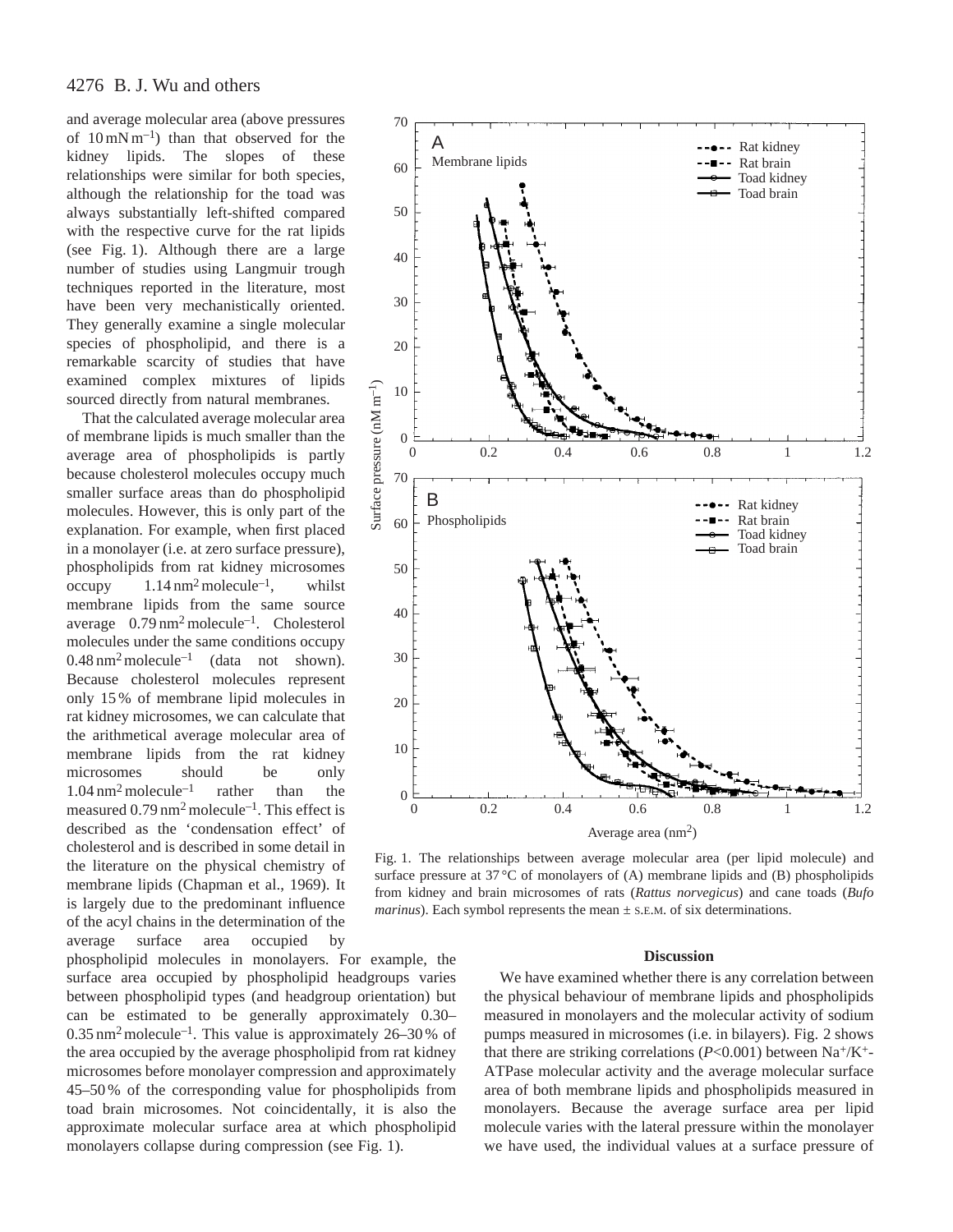# 4276 B. J. Wu and others

and average molecular area (above pressures of 10 mN m–1) than that observed for the kidney lipids. The slopes of these relationships were similar for both species, although the relationship for the toad was always substantially left-shifted compared with the respective curve for the rat lipids (see Fig. 1). Although there are a large number of studies using Langmuir trough techniques reported in the literature, most have been very mechanistically oriented. They generally examine a single molecular species of phospholipid, and there is a remarkable scarcity of studies that have examined complex mixtures of lipids sourced directly from natural membranes.

That the calculated average molecular area of membrane lipids is much smaller than the average area of phospholipids is partly because cholesterol molecules occupy much smaller surface areas than do phospholipid molecules. However, this is only part of the explanation. For example, when first placed in a monolayer (i.e. at zero surface pressure), phospholipids from rat kidney microsomes occupy  $1.14 \text{ nm}^2$  molecule<sup>-1</sup>, whilst membrane lipids from the same source average 0.79 nm<sup>2</sup> molecule–1. Cholesterol molecules under the same conditions occupy  $0.48$  nm<sup>2</sup> molecule<sup>-1</sup> (data not shown). Because cholesterol molecules represent only 15 % of membrane lipid molecules in rat kidney microsomes, we can calculate that the arithmetical average molecular area of membrane lipids from the rat kidney microsomes should be only  $1.04 \text{ nm}^2$  molecule<sup>-1</sup> rather than the measured  $0.79 \text{ nm}^2$  molecule<sup>-1</sup>. This effect is described as the 'condensation effect' of cholesterol and is described in some detail in the literature on the physical chemistry of membrane lipids (Chapman et al., 1969). It is largely due to the predominant influence of the acyl chains in the determination of the average surface area occupied by

phospholipid molecules in monolayers. For example, the surface area occupied by phospholipid headgroups varies between phospholipid types (and headgroup orientation) but can be estimated to be generally approximately 0.30–  $0.35$  nm<sup>2</sup> molecule<sup>-1</sup>. This value is approximately 26–30% of the area occupied by the average phospholipid from rat kidney microsomes before monolayer compression and approximately 45–50 % of the corresponding value for phospholipids from toad brain microsomes. Not coincidentally, it is also the approximate molecular surface area at which phospholipid monolayers collapse during compression (see Fig. 1).



Fig. 1. The relationships between average molecular area (per lipid molecule) and surface pressure at  $37^{\circ}$ C of monolayers of (A) membrane lipids and (B) phospholipids from kidney and brain microsomes of rats (*Rattus norvegicus*) and cane toads (*Bufo marinus*). Each symbol represents the mean  $\pm$  s.e.m. of six determinations.

#### **Discussion**

We have examined whether there is any correlation between the physical behaviour of membrane lipids and phospholipids measured in monolayers and the molecular activity of sodium pumps measured in microsomes (i.e. in bilayers). Fig. 2 shows that there are striking correlations ( $P<0.001$ ) between Na<sup>+</sup>/K<sup>+</sup>-ATPase molecular activity and the average molecular surface area of both membrane lipids and phospholipids measured in monolayers. Because the average surface area per lipid molecule varies with the lateral pressure within the monolayer we have used, the individual values at a surface pressure of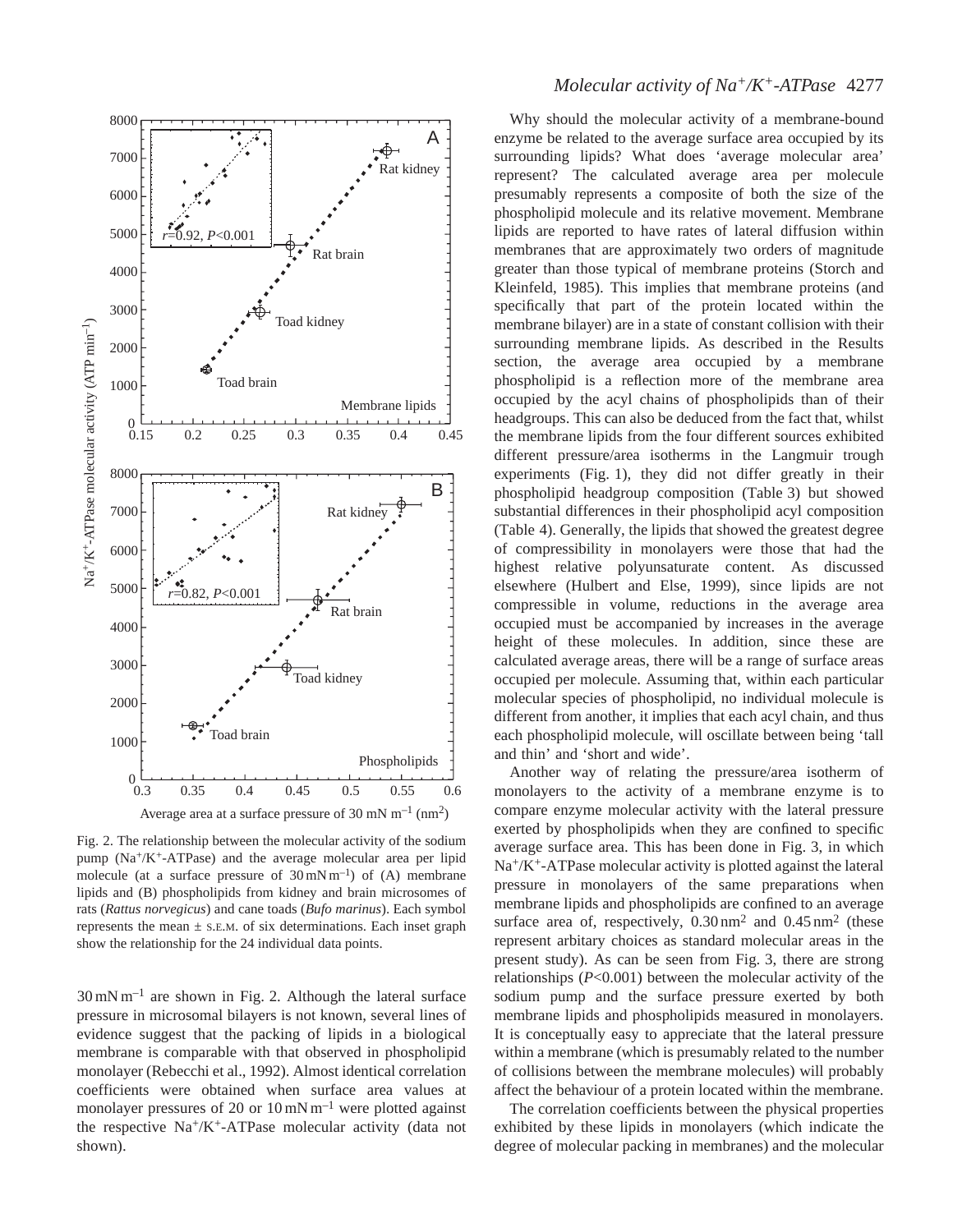

Fig. 2. The relationship between the molecular activity of the sodium pump  $(Na^+/K^+ATPase)$  and the average molecular area per lipid molecule (at a surface pressure of  $30 \text{ mN m}^{-1}$ ) of (A) membrane lipids and (B) phospholipids from kidney and brain microsomes of rats (*Rattus norvegicus*) and cane toads (*Bufo marinus*). Each symbol represents the mean  $\pm$  s.e.m. of six determinations. Each inset graph show the relationship for the 24 individual data points.

 $30 \text{ mN m}^{-1}$  are shown in Fig. 2. Although the lateral surface pressure in microsomal bilayers is not known, several lines of evidence suggest that the packing of lipids in a biological membrane is comparable with that observed in phospholipid monolayer (Rebecchi et al., 1992). Almost identical correlation coefficients were obtained when surface area values at monolayer pressures of 20 or  $10 \text{ mN m}^{-1}$  were plotted against the respective Na+/K+-ATPase molecular activity (data not shown).

# *Molecular activity of Na<sup>+</sup>/K<sup>+</sup>-ATPase* 4277

Why should the molecular activity of a membrane-bound enzyme be related to the average surface area occupied by its surrounding lipids? What does 'average molecular area' represent? The calculated average area per molecule presumably represents a composite of both the size of the phospholipid molecule and its relative movement. Membrane lipids are reported to have rates of lateral diffusion within membranes that are approximately two orders of magnitude greater than those typical of membrane proteins (Storch and Kleinfeld, 1985). This implies that membrane proteins (and specifically that part of the protein located within the membrane bilayer) are in a state of constant collision with their surrounding membrane lipids. As described in the Results section, the average area occupied by a membrane phospholipid is a reflection more of the membrane area occupied by the acyl chains of phospholipids than of their headgroups. This can also be deduced from the fact that, whilst the membrane lipids from the four different sources exhibited different pressure/area isotherms in the Langmuir trough experiments (Fig. 1), they did not differ greatly in their phospholipid headgroup composition (Table 3) but showed substantial differences in their phospholipid acyl composition (Table 4). Generally, the lipids that showed the greatest degree of compressibility in monolayers were those that had the highest relative polyunsaturate content. As discussed elsewhere (Hulbert and Else, 1999), since lipids are not compressible in volume, reductions in the average area occupied must be accompanied by increases in the average height of these molecules. In addition, since these are calculated average areas, there will be a range of surface areas occupied per molecule. Assuming that, within each particular molecular species of phospholipid, no individual molecule is different from another, it implies that each acyl chain, and thus each phospholipid molecule, will oscillate between being 'tall and thin' and 'short and wide'.

Another way of relating the pressure/area isotherm of monolayers to the activity of a membrane enzyme is to compare enzyme molecular activity with the lateral pressure exerted by phospholipids when they are confined to specific average surface area. This has been done in Fig. 3, in which Na+/K+-ATPase molecular activity is plotted against the lateral pressure in monolayers of the same preparations when membrane lipids and phospholipids are confined to an average surface area of, respectively,  $0.30 \text{ nm}^2$  and  $0.45 \text{ nm}^2$  (these represent arbitary choices as standard molecular areas in the present study). As can be seen from Fig. 3, there are strong relationships (*P*<0.001) between the molecular activity of the sodium pump and the surface pressure exerted by both membrane lipids and phospholipids measured in monolayers. It is conceptually easy to appreciate that the lateral pressure within a membrane (which is presumably related to the number of collisions between the membrane molecules) will probably affect the behaviour of a protein located within the membrane.

The correlation coefficients between the physical properties exhibited by these lipids in monolayers (which indicate the degree of molecular packing in membranes) and the molecular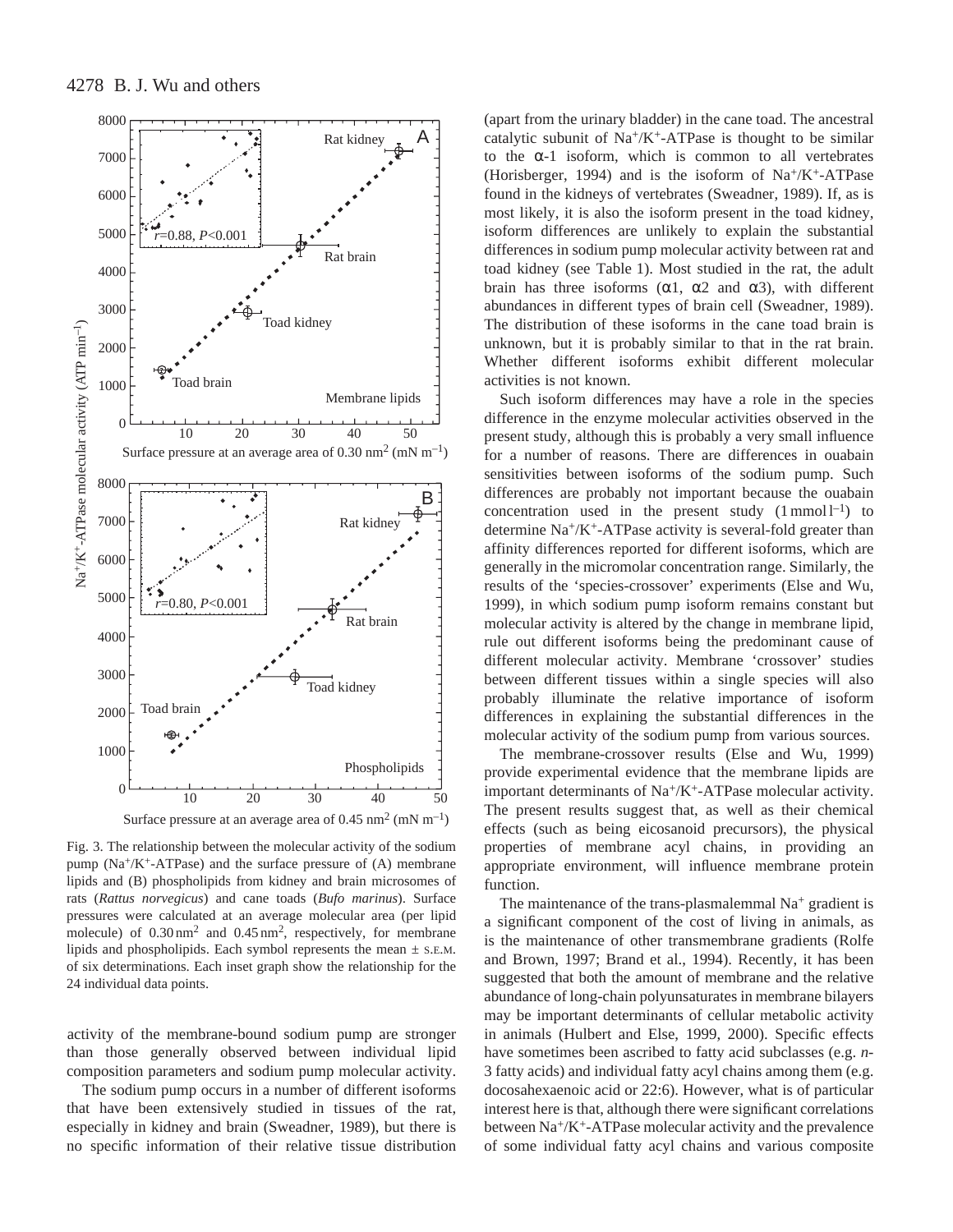

Fig. 3. The relationship between the molecular activity of the sodium pump  $(Na^+/K^+ATPase)$  and the surface pressure of  $(A)$  membrane lipids and (B) phospholipids from kidney and brain microsomes of rats (*Rattus norvegicus*) and cane toads (*Bufo marinus*). Surface pressures were calculated at an average molecular area (per lipid molecule) of  $0.30 \text{ nm}^2$  and  $0.45 \text{ nm}^2$ , respectively, for membrane lipids and phospholipids. Each symbol represents the mean ± S.E.M. of six determinations. Each inset graph show the relationship for the 24 individual data points.

activity of the membrane-bound sodium pump are stronger than those generally observed between individual lipid composition parameters and sodium pump molecular activity.

The sodium pump occurs in a number of different isoforms that have been extensively studied in tissues of the rat, especially in kidney and brain (Sweadner, 1989), but there is no specific information of their relative tissue distribution

(apart from the urinary bladder) in the cane toad. The ancestral catalytic subunit of  $\text{Na}^+\text{/K}^+$ -ATPase is thought to be similar to the  $\alpha$ -1 isoform, which is common to all vertebrates (Horisberger, 1994) and is the isoform of  $Na^+/K^+$ -ATPase found in the kidneys of vertebrates (Sweadner, 1989). If, as is most likely, it is also the isoform present in the toad kidney, isoform differences are unlikely to explain the substantial differences in sodium pump molecular activity between rat and toad kidney (see Table 1). Most studied in the rat, the adult brain has three isoforms ( $\alpha$ 1,  $\alpha$ 2 and  $\alpha$ 3), with different abundances in different types of brain cell (Sweadner, 1989). The distribution of these isoforms in the cane toad brain is unknown, but it is probably similar to that in the rat brain. Whether different isoforms exhibit different molecular activities is not known.

Such isoform differences may have a role in the species difference in the enzyme molecular activities observed in the present study, although this is probably a very small influence for a number of reasons. There are differences in ouabain sensitivities between isoforms of the sodium pump. Such differences are probably not important because the ouabain concentration used in the present study  $(1 \text{ mmol } 1^{-1})$  to determine Na+/K+-ATPase activity is several-fold greater than affinity differences reported for different isoforms, which are generally in the micromolar concentration range. Similarly, the results of the 'species-crossover' experiments (Else and Wu, 1999), in which sodium pump isoform remains constant but molecular activity is altered by the change in membrane lipid, rule out different isoforms being the predominant cause of different molecular activity. Membrane 'crossover' studies between different tissues within a single species will also probably illuminate the relative importance of isoform differences in explaining the substantial differences in the molecular activity of the sodium pump from various sources.

The membrane-crossover results (Else and Wu, 1999) provide experimental evidence that the membrane lipids are important determinants of Na+/K+-ATPase molecular activity. The present results suggest that, as well as their chemical effects (such as being eicosanoid precursors), the physical properties of membrane acyl chains, in providing an appropriate environment, will influence membrane protein function.

The maintenance of the trans-plasmalemmal  $Na<sup>+</sup>$  gradient is a significant component of the cost of living in animals, as is the maintenance of other transmembrane gradients (Rolfe and Brown, 1997; Brand et al., 1994). Recently, it has been suggested that both the amount of membrane and the relative abundance of long-chain polyunsaturates in membrane bilayers may be important determinants of cellular metabolic activity in animals (Hulbert and Else, 1999, 2000). Specific effects have sometimes been ascribed to fatty acid subclasses (e.g. *n*-3 fatty acids) and individual fatty acyl chains among them (e.g. docosahexaenoic acid or 22:6). However, what is of particular interest here is that, although there were significant correlations between Na+/K+-ATPase molecular activity and the prevalence of some individual fatty acyl chains and various composite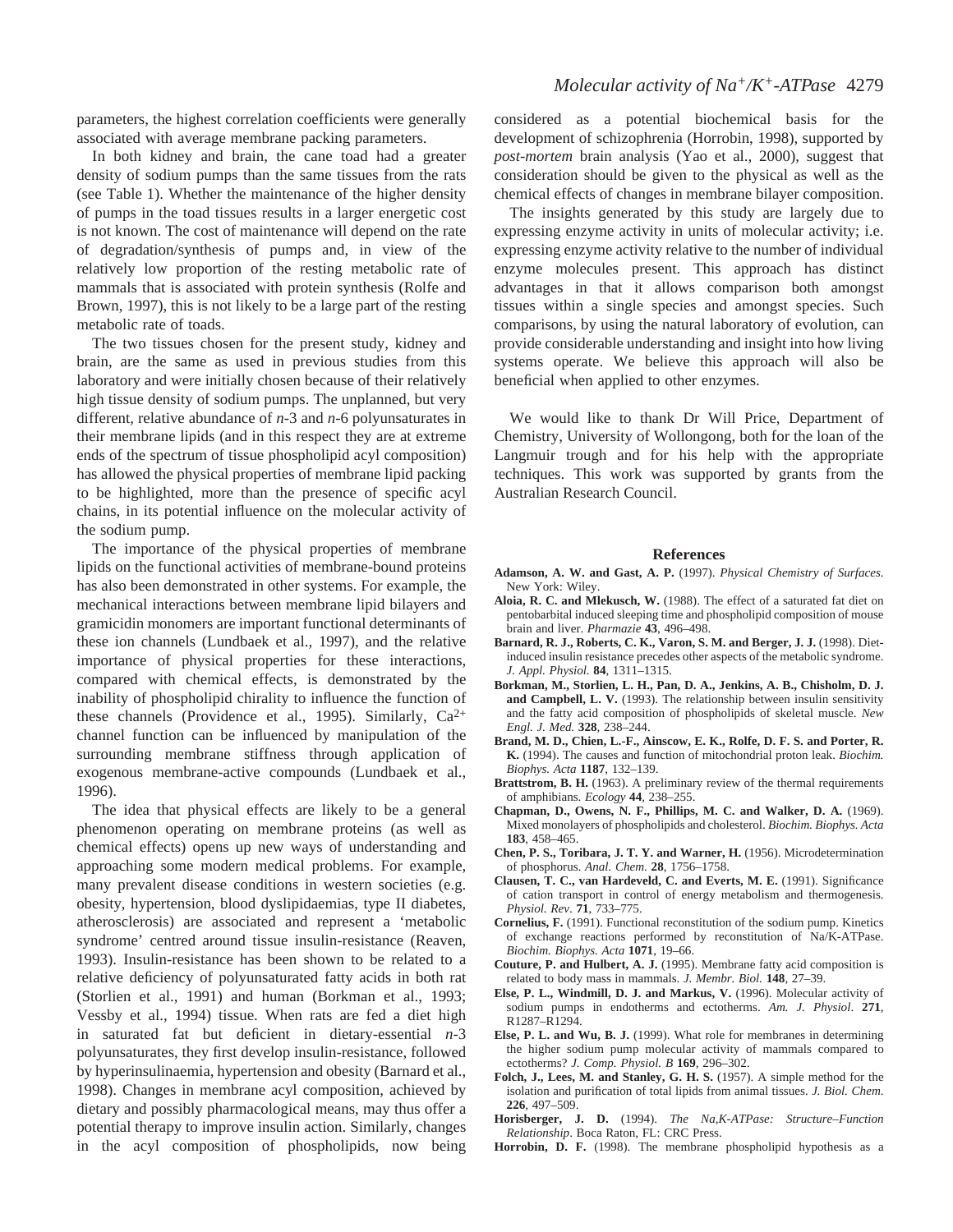parameters, the highest correlation coefficients were generally associated with average membrane packing parameters.

In both kidney and brain, the cane toad had a greater density of sodium pumps than the same tissues from the rats (see Table 1). Whether the maintenance of the higher density of pumps in the toad tissues results in a larger energetic cost is not known. The cost of maintenance will depend on the rate of degradation/synthesis of pumps and, in view of the relatively low proportion of the resting metabolic rate of mammals that is associated with protein synthesis (Rolfe and Brown, 1997), this is not likely to be a large part of the resting metabolic rate of toads.

The two tissues chosen for the present study, kidney and brain, are the same as used in previous studies from this laboratory and were initially chosen because of their relatively high tissue density of sodium pumps. The unplanned, but very different, relative abundance of *n*-3 and *n*-6 polyunsaturates in their membrane lipids (and in this respect they are at extreme ends of the spectrum of tissue phospholipid acyl composition) has allowed the physical properties of membrane lipid packing to be highlighted, more than the presence of specific acyl chains, in its potential influence on the molecular activity of the sodium pump.

The importance of the physical properties of membrane lipids on the functional activities of membrane-bound proteins has also been demonstrated in other systems. For example, the mechanical interactions between membrane lipid bilayers and gramicidin monomers are important functional determinants of these ion channels (Lundbaek et al., 1997), and the relative importance of physical properties for these interactions, compared with chemical effects, is demonstrated by the inability of phospholipid chirality to influence the function of these channels (Providence et al., 1995). Similarly,  $Ca^{2+}$ channel function can be influenced by manipulation of the surrounding membrane stiffness through application of exogenous membrane-active compounds (Lundbaek et al., 1996).

The idea that physical effects are likely to be a general phenomenon operating on membrane proteins (as well as chemical effects) opens up new ways of understanding and approaching some modern medical problems. For example, many prevalent disease conditions in western societies (e.g. obesity, hypertension, blood dyslipidaemias, type II diabetes, atherosclerosis) are associated and represent a 'metabolic syndrome' centred around tissue insulin-resistance (Reaven, 1993). Insulin-resistance has been shown to be related to a relative deficiency of polyunsaturated fatty acids in both rat (Storlien et al., 1991) and human (Borkman et al., 1993; Vessby et al., 1994) tissue. When rats are fed a diet high in saturated fat but deficient in dietary-essential *n*-3 polyunsaturates, they first develop insulin-resistance, followed by hyperinsulinaemia, hypertension and obesity (Barnard et al., 1998). Changes in membrane acyl composition, achieved by dietary and possibly pharmacological means, may thus offer a potential therapy to improve insulin action. Similarly, changes in the acyl composition of phospholipids, now being considered as a potential biochemical basis for the development of schizophrenia (Horrobin, 1998), supported by *post-mortem* brain analysis (Yao et al., 2000), suggest that consideration should be given to the physical as well as the chemical effects of changes in membrane bilayer composition.

The insights generated by this study are largely due to expressing enzyme activity in units of molecular activity; i.e. expressing enzyme activity relative to the number of individual enzyme molecules present. This approach has distinct advantages in that it allows comparison both amongst tissues within a single species and amongst species. Such comparisons, by using the natural laboratory of evolution, can provide considerable understanding and insight into how living systems operate. We believe this approach will also be beneficial when applied to other enzymes.

We would like to thank Dr Will Price, Department of Chemistry, University of Wollongong, both for the loan of the Langmuir trough and for his help with the appropriate techniques. This work was supported by grants from the Australian Research Council.

#### **References**

- **Adamson, A. W. and Gast, A. P.** (1997). *Physical Chemistry of Surfaces*. New York: Wiley.
- **Aloia, R. C. and Mlekusch, W.** (1988). The effect of a saturated fat diet on pentobarbital induced sleeping time and phospholipid composition of mouse brain and liver. *Pharmazie* **43**, 496–498.
- **Barnard, R. J., Roberts, C. K., Varon, S. M. and Berger, J. J.** (1998). Dietinduced insulin resistance precedes other aspects of the metabolic syndrome. *J. Appl. Physiol.* **84**, 1311–1315.
- **Borkman, M., Storlien, L. H., Pan, D. A., Jenkins, A. B., Chisholm, D. J. and Campbell, L. V.** (1993). The relationship between insulin sensitivity and the fatty acid composition of phospholipids of skeletal muscle. *New Engl. J. Med.* **328**, 238–244.
- **Brand, M. D., Chien, L.-F., Ainscow, E. K., Rolfe, D. F. S. and Porter, R. K.** (1994). The causes and function of mitochondrial proton leak. *Biochim. Biophys. Acta* **1187**, 132–139.
- **Brattstrom, B. H.** (1963). A preliminary review of the thermal requirements of amphibians. *Ecology* **44**, 238–255.
- **Chapman, D., Owens, N. F., Phillips, M. C. and Walker, D. A.** (1969). Mixed monolayers of phospholipids and cholesterol. *Biochim. Biophys. Acta* **183**, 458–465.
- **Chen, P. S., Toribara, J. T. Y. and Warner, H.** (1956). Microdetermination of phosphorus. *Anal. Chem.* **28**, 1756–1758.
- **Clausen, T. C., van Hardeveld, C. and Everts, M. E.** (1991). Significance of cation transport in control of energy metabolism and thermogenesis. *Physiol. Rev*. **71**, 733–775.
- **Cornelius, F.** (1991). Functional reconstitution of the sodium pump. Kinetics of exchange reactions performed by reconstitution of Na/K-ATPase. *Biochim. Biophys. Acta* **1071**, 19–66.
- **Couture, P. and Hulbert, A. J.** (1995). Membrane fatty acid composition is related to body mass in mammals. *J. Membr. Biol.* **148**, 27–39.
- **Else, P. L., Windmill, D. J. and Markus, V.** (1996). Molecular activity of sodium pumps in endotherms and ectotherms. *Am. J. Physiol*. **271**, R1287–R1294.
- **Else, P. L. and Wu, B. J.** (1999). What role for membranes in determining the higher sodium pump molecular activity of mammals compared to ectotherms? *J. Comp. Physiol. B* **169**, 296–302.
- **Folch, J., Lees, M. and Stanley, G. H. S.** (1957). A simple method for the isolation and purification of total lipids from animal tissues. *J. Biol. Chem*. **226**, 497–509.
- **Horisberger, J. D.** (1994). *The Na,K-ATPase: Structure–Function Relationship*. Boca Raton, FL: CRC Press.
- **Horrobin, D. F.** (1998). The membrane phospholipid hypothesis as a